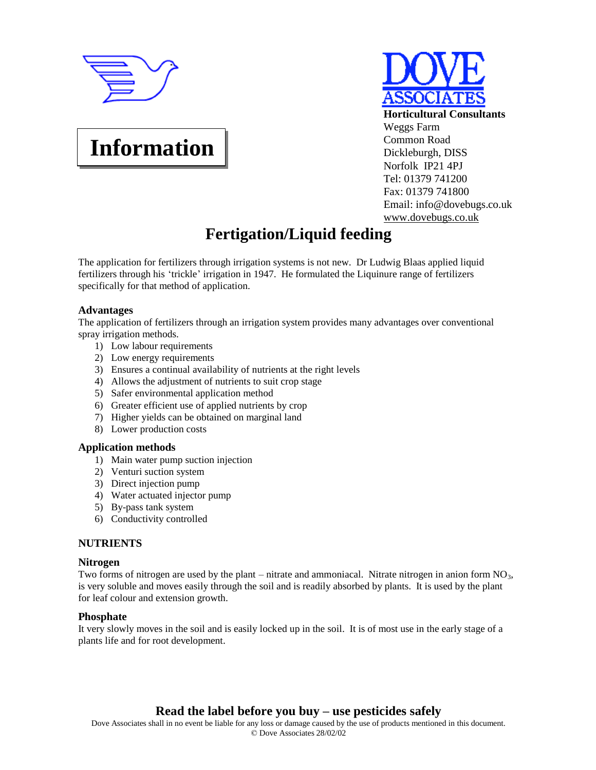

**Information**



# **Fertigation/Liquid feeding**

The application for fertilizers through irrigation systems is not new. Dr Ludwig Blaas applied liquid fertilizers through his 'trickle' irrigation in 1947. He formulated the Liquinure range of fertilizers specifically for that method of application.

# **Advantages**

The application of fertilizers through an irrigation system provides many advantages over conventional spray irrigation methods.

- 1) Low labour requirements
- 2) Low energy requirements
- 3) Ensures a continual availability of nutrients at the right levels
- 4) Allows the adjustment of nutrients to suit crop stage
- 5) Safer environmental application method
- 6) Greater efficient use of applied nutrients by crop
- 7) Higher yields can be obtained on marginal land
- 8) Lower production costs

# **Application methods**

- 1) Main water pump suction injection
- 2) Venturi suction system
- 3) Direct injection pump
- 4) Water actuated injector pump
- 5) By-pass tank system
- 6) Conductivity controlled

# **NUTRIENTS**

#### **Nitrogen**

Two forms of nitrogen are used by the plant – nitrate and ammoniacal. Nitrate nitrogen in anion form  $NO<sub>3</sub>$ , is very soluble and moves easily through the soil and is readily absorbed by plants. It is used by the plant for leaf colour and extension growth.

#### **Phosphate**

It very slowly moves in the soil and is easily locked up in the soil. It is of most use in the early stage of a plants life and for root development.

# **Read the label before you buy – use pesticides safely**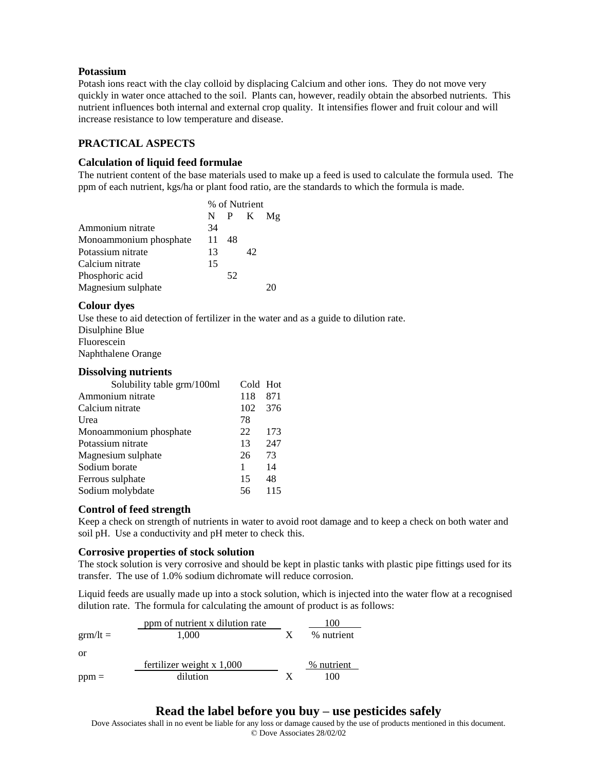# **Potassium**

Potash ions react with the clay colloid by displacing Calcium and other ions. They do not move very quickly in water once attached to the soil. Plants can, however, readily obtain the absorbed nutrients. This nutrient influences both internal and external crop quality. It intensifies flower and fruit colour and will increase resistance to low temperature and disease.

# **PRACTICAL ASPECTS**

# **Calculation of liquid feed formulae**

The nutrient content of the base materials used to make up a feed is used to calculate the formula used. The ppm of each nutrient, kgs/ha or plant food ratio, are the standards to which the formula is made.

|                        | % of Nutrient |    |              |  |
|------------------------|---------------|----|--------------|--|
|                        |               |    | $N$ P K $Mg$ |  |
| Ammonium nitrate       | 34            |    |              |  |
| Monoammonium phosphate | 11            | 48 |              |  |
| Potassium nitrate      | 13            |    | 42           |  |
| Calcium nitrate        | 15            |    |              |  |
| Phosphoric acid        |               | 52 |              |  |
| Magnesium sulphate     |               |    |              |  |

# **Colour dyes**

Use these to aid detection of fertilizer in the water and as a guide to dilution rate. Disulphine Blue Fluorescein Naphthalene Orange

#### **Dissolving nutrients**

| Solubility table grm/100ml | Cold Hot |     |
|----------------------------|----------|-----|
| Ammonium nitrate           | 118      | 871 |
| Calcium nitrate            | 102      | 376 |
| Urea                       | 78       |     |
| Monoammonium phosphate     | 22       | 173 |
| Potassium nitrate          | 13       | 247 |
| Magnesium sulphate         | 26       | 73  |
| Sodium borate              | 1        | 14  |
| Ferrous sulphate           | 15       | 48  |
| Sodium molybdate           | 56       | 115 |

# **Control of feed strength**

Keep a check on strength of nutrients in water to avoid root damage and to keep a check on both water and soil pH. Use a conductivity and pH meter to check this.

# **Corrosive properties of stock solution**

The stock solution is very corrosive and should be kept in plastic tanks with plastic pipe fittings used for its transfer. The use of 1.0% sodium dichromate will reduce corrosion.

Liquid feeds are usually made up into a stock solution, which is injected into the water flow at a recognised dilution rate. The formula for calculating the amount of product is as follows:

|                   | ppm of nutrient x dilution rate |   | 100        |
|-------------------|---------------------------------|---|------------|
| $\text{arm/lt} =$ | 1.000                           | X | % nutrient |
| or                |                                 |   |            |
|                   | fertilizer weight $x$ 1,000     |   | % nutrient |
| $ppm =$           | dilution                        |   | 100        |

# **Read the label before you buy – use pesticides safely**

Dove Associates shall in no event be liable for any loss or damage caused by the use of products mentioned in this document. © Dove Associates 28/02/02